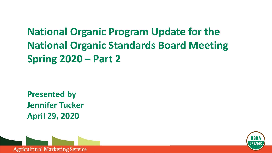# **National Organic Program Update for the National Organic Standards Board Meeting Spring 2020 – Part 2**

**Presented by Jennifer Tucker April 29, 2020** 



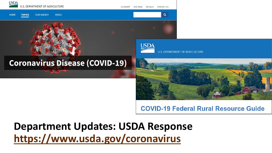

#### **COVID-19 Federal Rural Resource Guide**

**Department Updates: USDA Response <https://www.usda.gov/coronavirus>**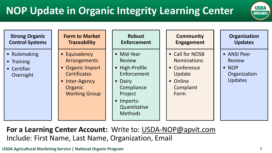# **NOP Update in Organic Integrity Learning Center**



| <b>Strong Organic</b><br><b>Control Systems</b>                   | <b>Farm to Market</b><br><b>Traceability</b>                                                                                         | <b>Robust</b><br><b>Enforcement</b>                                                                                                              | <b>Community</b><br><b>Engagement</b>                                                            | Organization<br><b>Updates</b>                                           |
|-------------------------------------------------------------------|--------------------------------------------------------------------------------------------------------------------------------------|--------------------------------------------------------------------------------------------------------------------------------------------------|--------------------------------------------------------------------------------------------------|--------------------------------------------------------------------------|
| • Rulemaking<br>Training<br>$\bullet$<br>• Certifier<br>Oversight | • Equivalency<br><b>Arrangements</b><br>• Organic Import<br><b>Certificates</b><br>• Inter-Agency<br>Organic<br><b>Working Group</b> | • Mid-Year<br><b>Review</b><br>• High-Profile<br>Enforcement<br>• Dairy<br>Compliance<br>Project<br>• Imports:<br>Quantitative<br><b>Methods</b> | • Call for NOSB<br><b>Nominations</b><br>• Conference<br>Update<br>• Online<br>Complaint<br>Form | • ANSI Peer<br><b>Review</b><br>$\bullet$ NOP<br>Organization<br>Updates |

**For a Learning Center Account:** Write to: USDA-NOP@apvit.com Include: First Name, Last Name, Organization, Email

**USDA Agricultural Marketing Service | National Organic Program 3**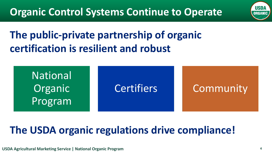

# **The public-private partnership of organic certification is resilient and robust**



# **The USDA organic regulations drive compliance!**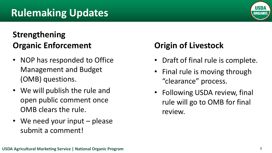## **Rulemaking Updates**

### **Strengthening Organic Enforcement**

- NOP has responded to Office Management and Budget (OMB) questions.
- We will publish the rule and open public comment once OMB clears the rule.
- We need your input please submit a comment!

### **Origin of Livestock**

- Draft of final rule is complete.
- Final rule is moving through "clearance" process.
- Following USDA review, final rule will go to OMB for final review.



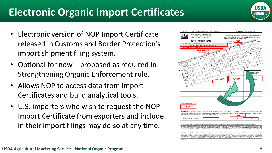# **Electronic Organic Import Certificates**

- Electronic version of NOP Import Certificate released in Customs and Border Protection's import shipment filing system.
- Optional for now proposed as required in Strengthening Organic Enforcement rule.
- Allows NOP to access data from Import Certificates and build analytical tools.
- U.S. importers who wish to request the NOP Import Certificate from exporters and include in their import filings may do so at any time.



ods Procluction Act of 1990 (OFPA) (7 U.S.C. Sec. 6501 et seq.) and are therefore deemed by USDA to have been produced and handled in accordance with th der the National Organic Program 7 CFR part 20

atus, parental status, religion, sexual orientation, genetic information, political beliefs, reprisal, or because all or part of an individual's income is derived from any publistance program (Not all prohibited bases apply to all programs.) Persons with disabilities who require alternative means for communication of program information (Braille, large print USDA's TARGET Center at (202) 720-2600 (voice and TDD). To file a complaint of discrimination, write to USDA, Director, Office of Civil Righ D.C. 20250-9410, or call (800) 795-3272 (voice) or (202) 720-6382 (TDO). USDA is an equal opportunity provider and emp

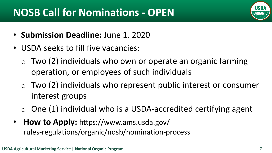# **NOSB Call for Nominations - OPEN**

- **Submission Deadline:** June 1, 2020
- USDA seeks to fill five vacancies:
	- $\circ$  Two (2) individuals who own or operate an organic farming operation, or employees of such individuals
	- $\circ$  Two (2) individuals who represent public interest or consumer interest groups
	- $\circ$  One (1) individual who is a USDA-accredited certifying agent
- **How to Apply:** https://www.ams.usda.gov/ rules-regulations/organic/nosb/nomination-process